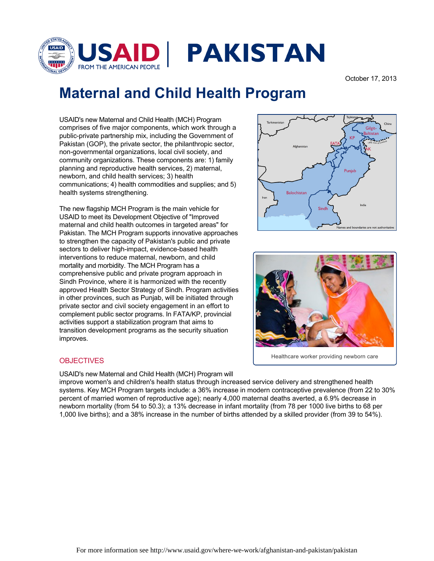

## October 17, 2013

## **Maternal and Child Health Program**

USAID's new Maternal and Child Health (MCH) Program comprises of five major components, which work through a public-private partnership mix, including the Government of Pakistan (GOP), the private sector, the philanthropic sector, non-governmental organizations, local civil society, and community organizations. These components are: 1) family planning and reproductive health services, 2) maternal, newborn, and child health services; 3) health communications; 4) health commodities and supplies; and 5) health systems strengthening.

The new flagship MCH Program is the main vehicle for USAID to meet its Development Objective of "Improved maternal and child health outcomes in targeted areas" for Pakistan. The MCH Program supports innovative approaches to strengthen the capacity of Pakistan's public and private sectors to deliver high-impact, evidence-based health interventions to reduce maternal, newborn, and child mortality and morbidity. The MCH Program has a comprehensive public and private program approach in Sindh Province, where it is harmonized with the recently approved Health Sector Strategy of Sindh. Program activities in other provinces, such as Punjab, will be initiated through private sector and civil society engagement in an effort to complement public sector programs. In FATA/KP, provincial activities support a stabilization program that aims to transition development programs as the security situation improves.



USAID's new Maternal and Child Health (MCH) Program will

improve women's and children's health status through increased service delivery and strengthened health systems. Key MCH Program targets include: a 36% increase in modern contraceptive prevalence (from 22 to 30% percent of married women of reproductive age); nearly 4,000 maternal deaths averted, a 6.9% decrease in newborn mortality (from 54 to 50.3); a 13% decrease in infant mortality (from 78 per 1000 live births to 68 per 1,000 live births); and a 38% increase in the number of births attended by a skilled provider (from 39 to 54%).





Healthcare worker providing newborn care